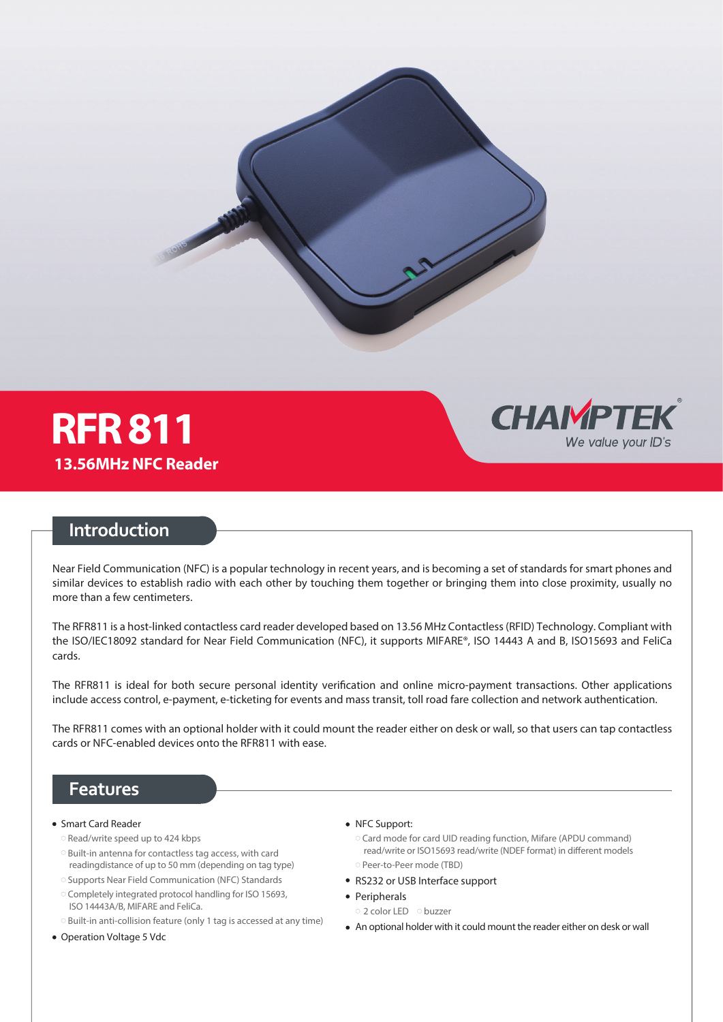

## **Introduction**

Near Field Communication (NFC) is a popular technology in recent years, and is becoming a set of standards for smart phones and similar devices to establish radio with each other by touching them together or bringing them into close proximity, usually no more than a few centimeters.

The RFR811 is a host-linked contactless card reader developed based on 13.56 MHz Contactless (RFID) Technology. Compliant with the ISO/IEC18092 standard for Near Field Communication (NFC), it supports MIFARE®, ISO 14443 A and B, ISO15693 and FeliCa cards.

The RFR811 is ideal for both secure personal identity verification and online micro-payment transactions. Other applications include access control, e-payment, e-ticketing for events and mass transit, toll road fare collection and network authentication.

The RFR811 comes with an optional holder with it could mount the reader either on desk or wall, so that users can tap contactless cards or NFC-enabled devices onto the RFR811 with ease.

### **Features**

- Smart Card Reader
	- Read/write speed up to 424 kbps
	- Built-in antenna for contactless tag access, with card readingdistance of up to 50 mm (depending on tag type)
	- Supports Near Field Communication (NFC) Standards
	- Completely integrated protocol handling for ISO 15693, ISO 14443A/B, MIFARE and FeliCa.
	- Built-in anti-collision feature (only 1 tag is accessed at any time)
- Operation Voltage 5 Vdc
- NFC Support:
	- Card mode for card UID reading function, Mifare (APDU command) read/write or ISO15693 read/write (NDEF format) in different models ○ Peer-to-Peer mode (TBD)

**CHAIMPTEK** 

We value your ID's

- RS232 or USB Interface support
- Peripherals
	- 2 color LED buzzer
- An optional holder with it could mount the reader either on desk or wall